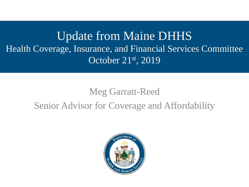Update from Maine DHHS Health Coverage, Insurance, and Financial Services Committee October 21st, 2019

#### Meg Garratt-Reed Senior Advisor for Coverage and Affordability

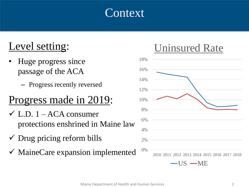#### **Context**

#### Level setting:

- Huge progress since passage of the ACA
	- Progress recently reversed

## Progress made in 2019:

- $\checkmark$  L.D. 1 ACA consumer protections enshrined in Maine law
- $\checkmark$  Drug pricing reform bills
- $\checkmark$  MaineCare expansion implemented

#### Uninsured Rate

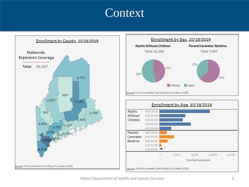#### **Context**



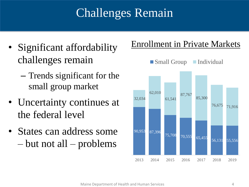# Challenges Remain

- Significant affordability challenges remain
	- Trends significant for the small group market
- Uncertainty continues at the federal level
- States can address some – but not all – problems

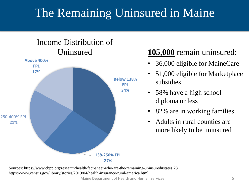## The Remaining Uninsured in Maine





#### Uninsured **105,000** remain uninsured:

- 36,000 eligible for MaineCare
- 51,000 eligible for Marketplace subsidies
- 58% have a high school diploma or less
- 82% are in working families
- Adults in rural counties are more likely to be uninsured

Maine Department of Health and Human Services 5 [Sources: https://www.cbpp.org/research/health/fact-sheet-who-are-the-remaining-uninsured#states;23](https://www.cbpp.org/research/health/fact-sheet-who-are-the-remaining-uninsured#states;23) https://www.census.gov/library/stories/2019/04/health-insurance-rural-america.html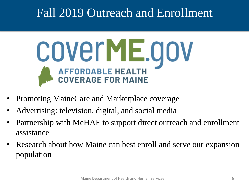## Fall 2019 Outreach and Enrollment



- Promoting MaineCare and Marketplace coverage
- Advertising: television, digital, and social media
- Partnership with MeHAF to support direct outreach and enrollment assistance
- Research about how Maine can best enroll and serve our expansion population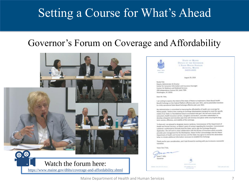## Setting a Course for What's Ahead

#### Governor's Forum on Coverage and Affordability





STATE OF MAINE **OFFICE OF THE GOVERNOR** 1 STATE HOUSE STATION AUGUSTA, MAINE 04333-0001

August 29, 2019

Randy Pate Deputy Administrator & Director Center for Consumer Information and insurance Oversight Canturs for Madicare and Medicaid Services 200 Independence Avenue SW, Suite 739H Washington, DC 20201

Dear Mr. Pate

I am writing to copress the intent of the State of Maine to implement a State-Based Health Benefit Exchange on the Federal Platform effective plan year 2021, and to potentially transition to a fully operational State-Based Eachange effective plan year 2022.

My Administration is committed to improving the affordability of health core coverage for Maine people. I believe that creating an Exchange (Marketplace) dasigned to meet the specific needs of our State is a foundational step to occomplish that goal. We will work closely with consumers, health insurance carriers, navigators and brokers, and ather stakeholders to develop a laboratist and transition plan that will minimize disruption while ensuring the longterm success, efficiency, and stability of the exchange.

To that end, I am pleased to designate Jeanne Lambrew, Commissioner of the Oepartment of Health and Human Services, as Maine's point of contact regarding this transition. Commissioner Lambrew is authorized to formally bind the State, and to sign the Exchange Blueprint. Application. She will work in close collaboration with the Boreau of Impurance which currently provides plan management for the Marketplace. Maine further acknowledges that the Maine Department of Health and Human Services and the Statu may agree to amend this declaration letter to include additional information necessary to establish the Eschange.

Thank you for your consideration, and I look forward to working with you to ensure a successful transition.

Yours Very Truly



Maine Department of Health and Human Services 7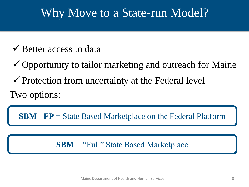## Why Move to a State-run Model?

- $\checkmark$  Better access to data
- $\checkmark$  Opportunity to tailor marketing and outreach for Maine
- $\checkmark$  Protection from uncertainty at the Federal level

Two options:

**SBM - FP** = State Based Marketplace on the Federal Platform

**SBM** = "Full" State Based Marketplace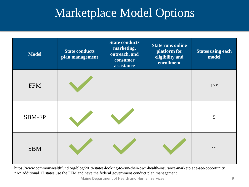## Marketplace Model Options

| <b>Model</b>  | <b>State conducts</b><br>plan management | <b>State conducts</b><br>marketing,<br>outreach, and<br>consumer<br>assistance | <b>State runs online</b><br>platform for<br>eligibility and<br>enrollment | <b>States using each</b><br>model |
|---------------|------------------------------------------|--------------------------------------------------------------------------------|---------------------------------------------------------------------------|-----------------------------------|
| <b>FFM</b>    |                                          |                                                                                |                                                                           | $17*$                             |
| <b>SBM-FP</b> |                                          |                                                                                |                                                                           | 5                                 |
| <b>SBM</b>    |                                          |                                                                                |                                                                           | 12                                |

Maine Department of Health and Human Services 9 <https://www.commonwealthfund.org/blog/2019/states-looking-to-run-their-own-health-insurance-marketplace-see-opportunity> \*An additional 17 states use the FFM and have the federal government conduct plan management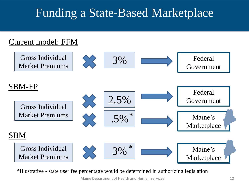## Funding a State-Based Marketplace



\*Illustrative - state user fee percentage would be determined in authorizing legislation

Maine Department of Health and Human Services and the state 10 model of the state 10 model of the state 10 model of the state 10 model of the state 10 model of the state 10 model of the state 10 model of the state 10 model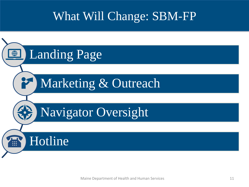## What Will Change: SBM-FP

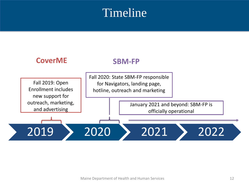#### **Timeline**

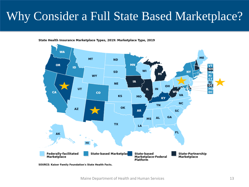## Why Consider a Full State Based Marketplace?

State Health Insurance Marketplace Types, 2019: Marketplace Type, 2019



**SOURCE: Kaiser Family Foundation's State Health Facts.**